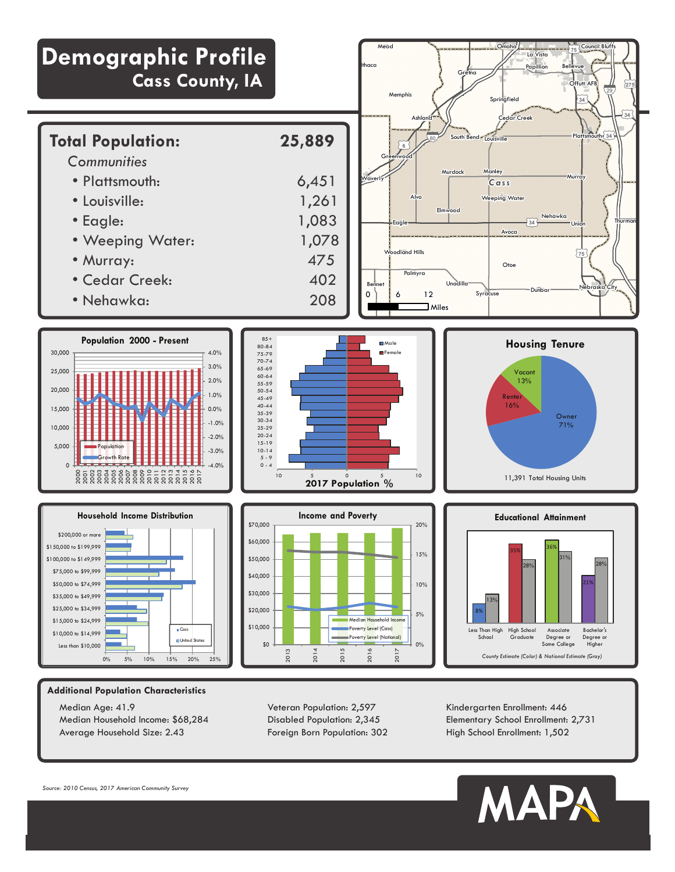

Median Age: 41.9 Median Household Income: \$68,284 Average Household Size: 2.43

Veteran Population: 2,597 Disabled Population: 2,345 Foreign Born Population: 302 Kindergarten Enrollment: 446 Elementary School Enrollment: 2,731 High School Enrollment: 1,502